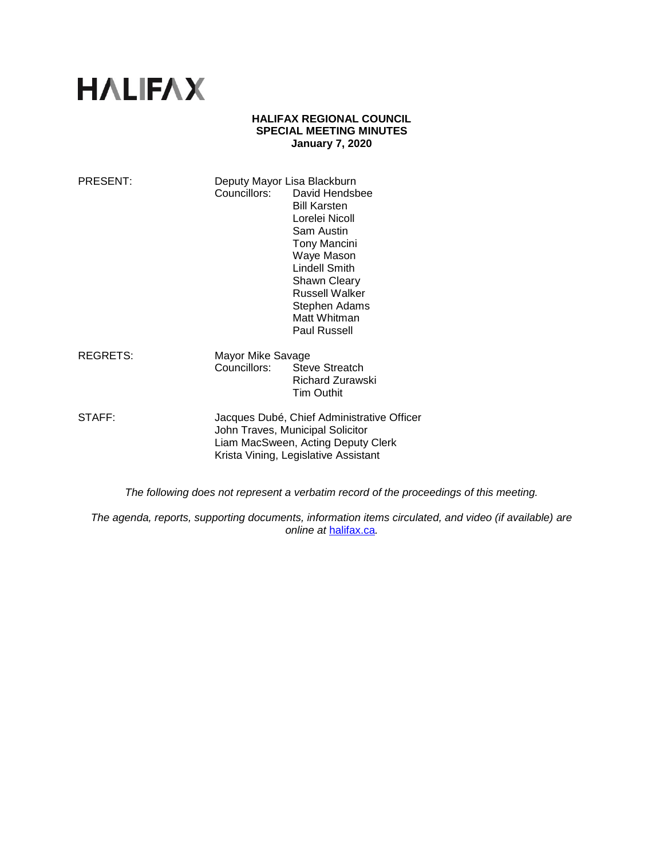# **HALIFAX**

#### **HALIFAX REGIONAL COUNCIL SPECIAL MEETING MINUTES January 7, 2020**

| PRESENT: | Deputy Mayor Lisa Blackburn                                                                                                                                  | Councillors: David Hendsbee<br><b>Bill Karsten</b><br>Lorelei Nicoll<br>Sam Austin<br><b>Tony Mancini</b><br>Waye Mason<br><b>Lindell Smith</b><br><b>Shawn Cleary</b><br>Russell Walker<br>Stephen Adams<br>Matt Whitman<br><b>Paul Russell</b> |
|----------|--------------------------------------------------------------------------------------------------------------------------------------------------------------|--------------------------------------------------------------------------------------------------------------------------------------------------------------------------------------------------------------------------------------------------|
| REGRETS: | Mayor Mike Savage<br>Councillors:                                                                                                                            | Steve Streatch<br><b>Richard Zurawski</b><br><b>Tim Outhit</b>                                                                                                                                                                                   |
| STAFF:   | Jacques Dubé, Chief Administrative Officer<br>John Traves, Municipal Solicitor<br>Liam MacSween, Acting Deputy Clerk<br>Krista Vining, Legislative Assistant |                                                                                                                                                                                                                                                  |

*The following does not represent a verbatim record of the proceedings of this meeting.*

*The agenda, reports, supporting documents, information items circulated, and video (if available) are online at* [halifax.ca](http://www.halifax.ca/)*.*